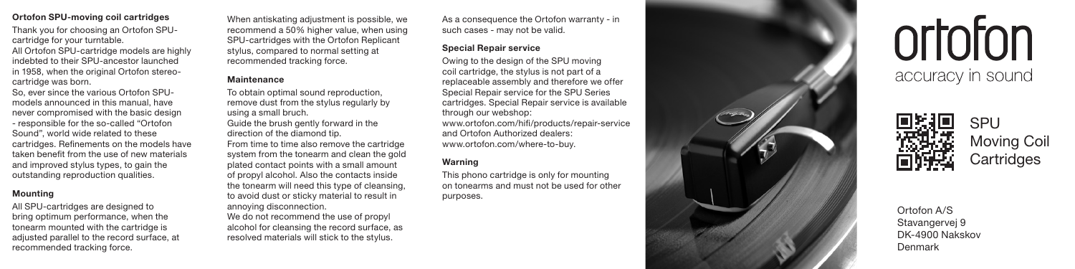### **Ortofon SPU-moving coil cartridges**

Thank you for choosing an Ortofon SPUcartridge for your turntable. All Ortofon SPU-cartridge models are highly indebted to their SPU-ancestor launched in 1958, when the original Ortofon stereocartridge was born.

So, ever since the various Ortofon SPU models announced in this manual, have never compromised with the basic design - responsible for the so-called "Ortofon Sound", world wide related to these cartridges. Refinements on the models have taken benefit from the use of new materials and improved stylus types, to gain the outstanding reproduction qualities.

### **Mounting**

All SPU-cartridges are designed to bring optimum performance, when the tonearm mounted with the cartridge is adjusted parallel to the record surface, at recommended tracking force.

When antiskating adjustment is possible, we recommend a 50% higher value, when using SPU-cartridges with the Ortofon Replicant stylus, compared to normal setting at recommended tracking force.

# **Maintenance**

To obtain optimal sound reproduction, remove dust from the stylus regularly by using a small bruch. Guide the brush gently forward in the direction of the diamond tip. From time to time also remove the cartridge system from the tonearm and clean the gold plated contact points with a small amount of propyl alcohol. Also the contacts inside the tonearm will need this type of cleansing, to avoid dust or sticky material to result in annoying disconnection.

We do not recommend the use of propyl alcohol for cleansing the record surface, as resolved materials will stick to the stylus.

As a consequence the Ortofon warranty - in such cases - may not be valid.

## **Special Repair service**

Owing to the design of the SPU moving coil cartridge, the stylus is not part of a replaceable assembly and therefore we offer Special Repair service for the SPU Series cartridges. Special Repair service is available through our webshop: www.ortofon.com/hifi/products/repair-service and Ortofon Authorized dealers: www.ortofon.com/where-to-buy.

### **Warning**

This phono cartridge is only for mounting on tonearms and must not be used for other purposes.



ortoton accuracy in sound



Ortofon A/S Stavangervej 9 DK-4900 Nakskov Denmark